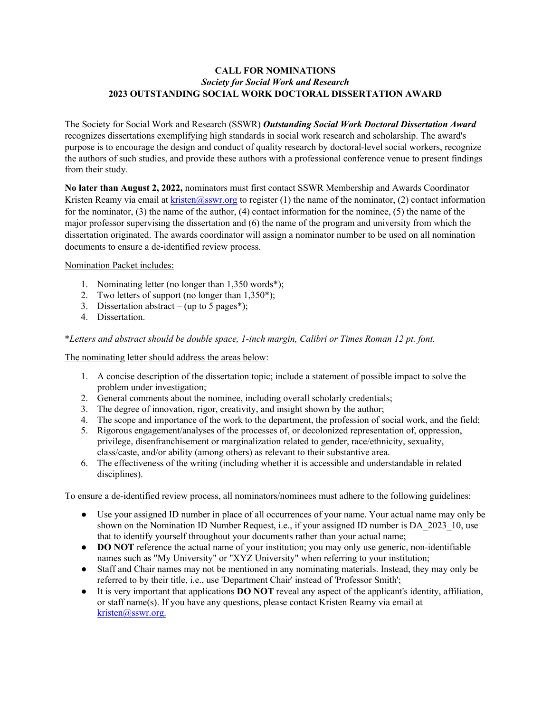## **CALL FOR NOMINATIONS** *Society for Social Work and Research* **2023 OUTSTANDING SOCIAL WORK DOCTORAL DISSERTATION AWARD**

The Society for Social Work and Research (SSWR) *Outstanding Social Work Doctoral Dissertation Award*  recognizes dissertations exemplifying high standards in social work research and scholarship. The award's purpose is to encourage the design and conduct of quality research by doctoral-level social workers, recognize the authors of such studies, and provide these authors with a professional conference venue to present findings from their study.

**No later than August 2, 2022,** nominators must first contact SSWR Membership and Awards Coordinator Kristen Reamy via email at kristen@sswr.org to register (1) the name of the nominator, (2) contact information for the nominator, (3) the name of the author, (4) contact information for the nominee, (5) the name of the major professor supervising the dissertation and (6) the name of the program and university from which the dissertation originated. The awards coordinator will assign a nominator number to be used on all nomination documents to ensure a de-identified review process.

## Nomination Packet includes:

- 1. Nominating letter (no longer than 1,350 words\*);
- 2. Two letters of support (no longer than  $1,350^*$ );
- 3. Dissertation abstract (up to 5 pages\*);
- 4. Dissertation.

\**Letters and abstract should be double space, 1-inch margin, Calibri or Times Roman 12 pt. font.*

The nominating letter should address the areas below:

- 1. A concise description of the dissertation topic; include a statement of possible impact to solve the problem under investigation;
- 2. General comments about the nominee, including overall scholarly credentials;
- 3. The degree of innovation, rigor, creativity, and insight shown by the author;
- 4. The scope and importance of the work to the department, the profession of social work, and the field;
- 5. Rigorous engagement/analyses of the processes of, or decolonized representation of, oppression, privilege, disenfranchisement or marginalization related to gender, race/ethnicity, sexuality, class/caste, and/or ability (among others) as relevant to their substantive area.
- 6. The effectiveness of the writing (including whether it is accessible and understandable in related disciplines).

To ensure a de-identified review process, all nominators/nominees must adhere to the following guidelines:

- Use your assigned ID number in place of all occurrences of your name. Your actual name may only be shown on the Nomination ID Number Request, i.e., if your assigned ID number is DA\_2023\_10, use that to identify yourself throughout your documents rather than your actual name;
- **DO NOT** reference the actual name of your institution; you may only use generic, non-identifiable names such as "My University" or "XYZ University" when referring to your institution;
- Staff and Chair names may not be mentioned in any nominating materials. Instead, they may only be referred to by their title, i.e., use 'Department Chair' instead of 'Professor Smith';
- It is very important that applications **DO NOT** reveal any aspect of the applicant's identity, affiliation, or staff name(s). If you have any questions, please contact Kristen Reamy via email at [kristen@sswr.org.](mailto:kristen@sswr.org)